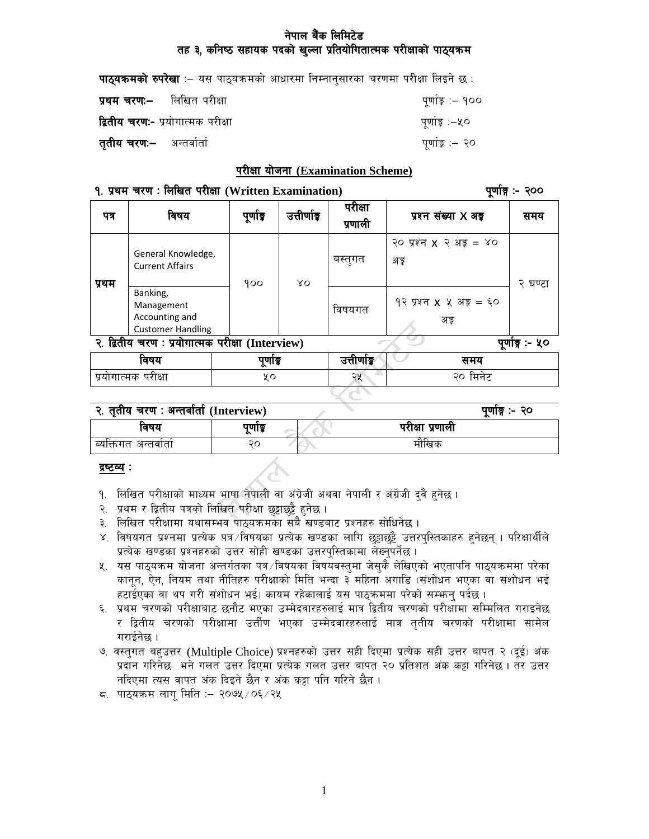## नेपाल बैंक लिमिटेड तह ३, कनिष्ठ सहायक पदको खुल्ला प्रतियोगितात्मक परीक्षाको पाठ्यक्रम

| <b>पाठ्यक्रमको रुपरेखा</b> :– यस पाठ्यक्रमको आधारमा निम्नानुसारका चरणमा परीक्षा लिइने छ : |                  |
|-------------------------------------------------------------------------------------------|------------------|
| <b>प्रथम चरण:–</b> लिखित परीक्षा                                                          | पूर्णाङ्क :– १०० |
| <b>द्वितीय चरण:-</b> प्रयोगात्मक परीक्षा                                                  | पूर्णाङ्क :–५०   |
| <b>तुतीय चरण:–</b> अन्तर्वार्ता                                                           | पूर्णाङ्क :– २०  |

#### परीक्षा योजना (Examination Scheme)

#### १. प्रथम चरण: लिखित परीक्षा (Written Examination)

पर्णाङ्ग :- २००

| पत्र                                                               | विषय                                                                 | पूर्णाङ्क | उत्तीर्णाङ्ग | परीक्षा<br>प्रणाली | प्रश्न संख्या X अड्ड                       | समय     |
|--------------------------------------------------------------------|----------------------------------------------------------------------|-----------|--------------|--------------------|--------------------------------------------|---------|
| प्रथम                                                              | General Knowledge,<br><b>Current Affairs</b>                         | 900       | $80^{\circ}$ | बस्तुगत            | २० प्रश्न $x$ २ अङ्क $=$ ४०<br>अङ्र        | २ घण्टा |
|                                                                    | Banking,<br>Management<br>Accounting and<br><b>Customer Handling</b> |           |              | विषयगत             | १२ प्रश्न $x \times x$ अङ्क $=$ ६०<br>अङ्क |         |
| २. द्वितीय चरण: प्रयोगात्मक परीक्षा (Interview)<br>पूर्णाङ्ग :- ५० |                                                                      |           |              |                    |                                            |         |
| विषय<br>पूर्णाङ्क                                                  |                                                                      |           | उत्तीर्णाडू  | समय                |                                            |         |
|                                                                    | प्रयोगात्मक परीक्षा                                                  | χo        |              | २५                 | २० मिनेट                                   |         |

| २. तृतीय चरण : अन्तर्वार्ता (Interview) |      | पूर्णाङ्ग :- २० |
|-----------------------------------------|------|-----------------|
| विषय                                    | पणाङ | परीक्षा प्रणाली |

मौखिक

#### <u>द्रष्टव्य</u> :

व्यक्तिगत अन्तर्वार्ता

- १. लिखित परीक्षाको माध्यम भाषा नेपाली वा अंग्रेजी अथवा नेपाली र अंग्रेजी दुवै हुनेछ ।
- २. प्रथम र द्वितीय पत्रको लिखित परीक्षा छुट्टाछुट्टै हुनेछ ।
- ३. लिखित परीक्षामा यथासम्भव पाठ्यक्रमका सबै खण्डबाट प्रश्नहरु सोधिनेछ ।

२०

- ४. विषयगत प्रश्नमा प्रत्येक पत्र विषयका प्रत्येक खण्डका लागि छुट्टाछुट्टै उत्तरपुस्तिकाहरु हुनेछन् । परिक्षार्थीले प्रत्येक खण्डका प्रश्नहरुको उत्तर सोही खण्डका उत्तरपुस्तिकामा लेख्नुपर्नेछ ।
- ५. यस पाठ्यक्रम योजना अन्तर्गतका पत्र∕विषयका विषयवस्त्मा जेस्कै लेखिएको भएतापनि पाठ्यक्रममा परेका कानून, ऐन, नियम तथा नीतिहरु परीक्षाको मिति भन्दा ३ महिना अगाडि (संशोधन भएका वा संशोधन भई हटाईएका वा थप गरी संशोधन भई) कायम रहेकालाई यस पाठ्कममा परेको सम्भन् पर्दछ ।
- ६. प्रथम चरणको परीक्षाबाट छनौट भएका उम्मेदवारहरुलाई मात्र द्वितीय चरणको परीक्षामा सम्मिलित गराइनेछ र द्वितीय चरणको परीक्षामा उत्तीण भएका उम्मेदवारहरुलाई मात्र ततीय चरणको परीक्षामा सामेल गराईनेछ ।
- ७. वस्तुगत बहुउत्तर (Multiple Choice) प्रश्नहरुको उत्तर सही दिएमा प्रत्येक सही उत्तर बापत २ (दूई) अंक प्रदान गरिनेछ भने गलत उत्तर दिएमा प्रत्येक गलत उत्तर बापत २० प्रतिशत अंक कट्टा गरिनेछ । तर उत्तर नदिएमा त्यस वापत अंक दिइने छैन र अंक कट्टा पनि गरिने छैन ।
- ८. पाठ्यक्रम लागू मिति : २०७५ / ०६ / २५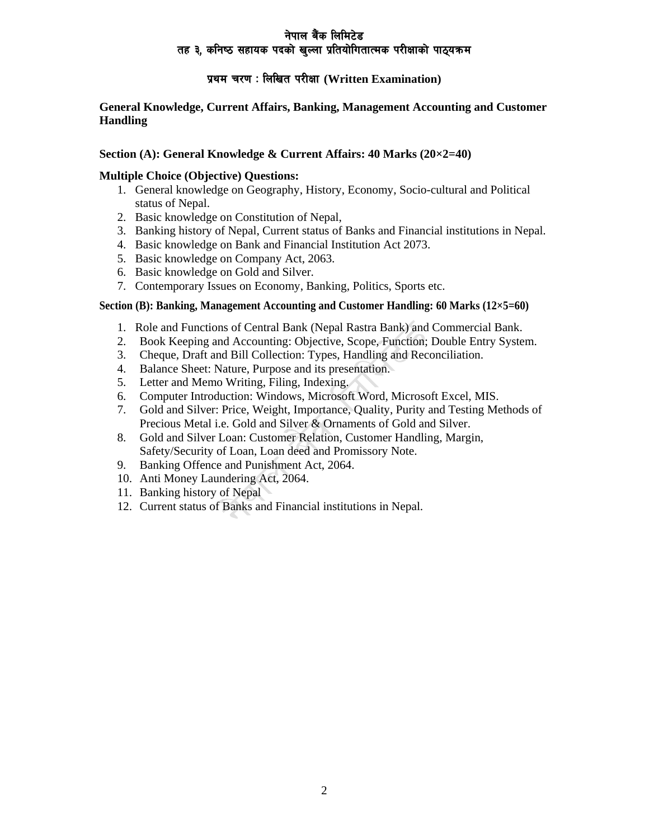## नेपाल बैंक लिमिटे**ड** तह ३, कनिष्ठ सहायक पदको खल्ला प्रतियोगितात्मक परीक्षाको पाठ्यक्रम

## **k|yd r/0f M lnlvt k/LIff (Written Examination)**

### **General Knowledge, Current Affairs, Banking, Management Accounting and Customer Handling**

### **Section (A): General Knowledge & Current Affairs: 40 Marks (20×2=40)**

### **Multiple Choice (Objective) Questions:**

- 1. General knowledge on Geography, History, Economy, Socio-cultural and Political status of Nepal.
- 2. Basic knowledge on Constitution of Nepal,
- 3. Banking history of Nepal, Current status of Banks and Financial institutions in Nepal.
- 4. Basic knowledge on Bank and Financial Institution Act 2073.
- 5. Basic knowledge on Company Act, 2063.
- 6. Basic knowledge on Gold and Silver.
- 7. Contemporary Issues on Economy, Banking, Politics, Sports etc.

### **Section (B): Banking, Management Accounting and Customer Handling: 60 Marks (12×5=60)**

- 1. Role and Functions of Central Bank (Nepal Rastra Bank) and Commercial Bank.
- 2. Book Keeping and Accounting: Objective, Scope, Function; Double Entry System.
- 3. Cheque, Draft and Bill Collection: Types, Handling and Reconciliation.
- 4. Balance Sheet: Nature, Purpose and its presentation.
- 5. Letter and Memo Writing, Filing, Indexing.
- 6. Computer Introduction: Windows, Microsoft Word, Microsoft Excel, MIS.
- 7. Gold and Silver: Price, Weight, Importance, Quality, Purity and Testing Methods of Precious Metal i.e. Gold and Silver & Ornaments of Gold and Silver.
- 8. Gold and Silver Loan: Customer Relation, Customer Handling, Margin, Safety/Security of Loan, Loan deed and Promissory Note.
- 9. Banking Offence and Punishment Act, 2064.
- 10. Anti Money Laundering Act, 2064.
- 11. Banking history of Nepal
- 12. Current status of Banks and Financial institutions in Nepal.